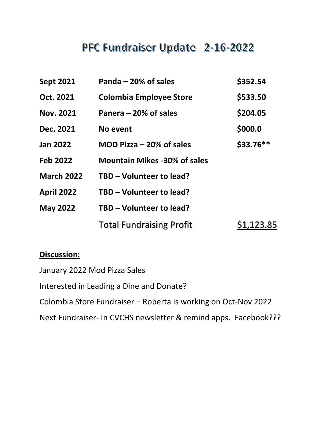# PFC Fundraiser Update 2-16-2022

| <b>Sept 2021</b>  | Panda – 20% of sales                | \$352.54   |
|-------------------|-------------------------------------|------------|
| Oct. 2021         | <b>Colombia Employee Store</b>      | \$533.50   |
| <b>Nov. 2021</b>  | Panera – 20% of sales               | \$204.05   |
| Dec. 2021         | No event                            | \$000.0    |
| <b>Jan 2022</b>   | MOD Pizza $-20\%$ of sales          | \$33.76**  |
| <b>Feb 2022</b>   | <b>Mountain Mikes -30% of sales</b> |            |
| <b>March 2022</b> | TBD - Volunteer to lead?            |            |
| <b>April 2022</b> | TBD - Volunteer to lead?            |            |
| <b>May 2022</b>   | TBD - Volunteer to lead?            |            |
|                   | <b>Total Fundraising Profit</b>     | \$1,123.85 |

### **Discussion:**

January 2022 Mod Pizza Sales

Interested in Leading a Dine and Donate?

Colombia Store Fundraiser – Roberta is working on Oct-Nov 2022

Next Fundraiser- In CVCHS newsletter & remind apps. Facebook???